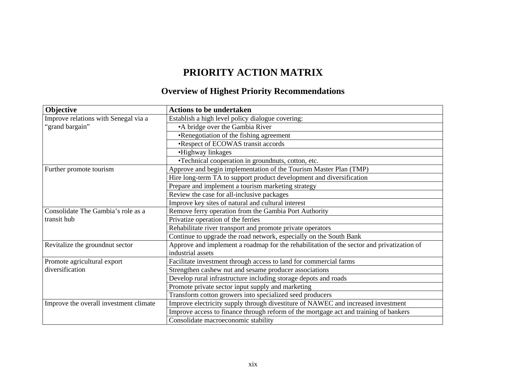## **PRIORITY ACTION MATRIX**

## **Overview of Highest Priority Recommendations**

| Objective                              | <b>Actions to be undertaken</b>                                                           |
|----------------------------------------|-------------------------------------------------------------------------------------------|
| Improve relations with Senegal via a   | Establish a high level policy dialogue covering:                                          |
| "grand bargain"                        | •A bridge over the Gambia River                                                           |
|                                        | •Renegotiation of the fishing agreement                                                   |
|                                        | •Respect of ECOWAS transit accords                                                        |
|                                        | •Highway linkages                                                                         |
|                                        | •Technical cooperation in groundnuts, cotton, etc.                                        |
| Further promote tourism                | Approve and begin implementation of the Tourism Master Plan (TMP)                         |
|                                        | Hire long-term TA to support product development and diversification                      |
|                                        | Prepare and implement a tourism marketing strategy                                        |
|                                        | Review the case for all-inclusive packages                                                |
|                                        | Improve key sites of natural and cultural interest                                        |
| Consolidate The Gambia's role as a     | Remove ferry operation from the Gambia Port Authority                                     |
| transit hub                            | Privatize operation of the ferries                                                        |
|                                        | Rehabilitate river transport and promote private operators                                |
|                                        | Continue to upgrade the road network, especially on the South Bank                        |
| Revitalize the groundnut sector        | Approve and implement a roadmap for the rehabilitation of the sector and privatization of |
|                                        | industrial assets                                                                         |
| Promote agricultural export            | Facilitate investment through access to land for commercial farms                         |
| diversification                        | Strengthen cashew nut and sesame producer associations                                    |
|                                        | Develop rural infrastructure including storage depots and roads                           |
|                                        | Promote private sector input supply and marketing                                         |
|                                        | Transform cotton growers into specialized seed producers                                  |
| Improve the overall investment climate | Improve electricity supply through divestiture of NAWEC and increased investment          |
|                                        | Improve access to finance through reform of the mortgage act and training of bankers      |
|                                        | Consolidate macroeconomic stability                                                       |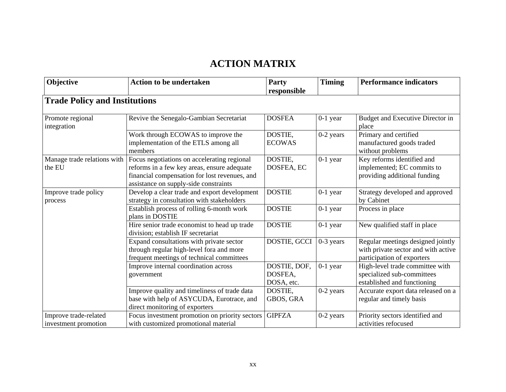## **ACTION MATRIX**

| Objective                                     | <b>Action to be undertaken</b>                                                                                                                                                       | Party<br>responsible                  | <b>Timing</b> | <b>Performance indicators</b>                                                                          |
|-----------------------------------------------|--------------------------------------------------------------------------------------------------------------------------------------------------------------------------------------|---------------------------------------|---------------|--------------------------------------------------------------------------------------------------------|
| <b>Trade Policy and Institutions</b>          |                                                                                                                                                                                      |                                       |               |                                                                                                        |
|                                               |                                                                                                                                                                                      |                                       |               |                                                                                                        |
| Promote regional<br>integration               | Revive the Senegalo-Gambian Secretariat                                                                                                                                              | <b>DOSFEA</b>                         | $0-1$ year    | Budget and Executive Director in<br>place                                                              |
|                                               | Work through ECOWAS to improve the<br>implementation of the ETLS among all<br>members                                                                                                | DOSTIE,<br><b>ECOWAS</b>              | $0-2$ years   | Primary and certified<br>manufactured goods traded<br>without problems                                 |
| Manage trade relations with<br>the EU         | Focus negotiations on accelerating regional<br>reforms in a few key areas, ensure adequate<br>financial compensation for lost revenues, and<br>assistance on supply-side constraints | DOSTIE,<br>DOSFEA, EC                 | $0-1$ year    | Key reforms identified and<br>implemented; EC commits to<br>providing additional funding               |
| Improve trade policy<br>process               | Develop a clear trade and export development<br>strategy in consultation with stakeholders                                                                                           | <b>DOSTIE</b>                         | $0-1$ year    | Strategy developed and approved<br>by Cabinet                                                          |
|                                               | Establish process of rolling 6-month work<br>plans in DOSTIE                                                                                                                         | <b>DOSTIE</b>                         | $0-1$ year    | Process in place                                                                                       |
|                                               | Hire senior trade economist to head up trade<br>division; establish IF secretariat                                                                                                   | <b>DOSTIE</b>                         | $0-1$ year    | New qualified staff in place                                                                           |
|                                               | Expand consultations with private sector<br>through regular high-level fora and more<br>frequent meetings of technical committees                                                    | DOSTIE, GCCI                          | $0-3$ years   | Regular meetings designed jointly<br>with private sector and with active<br>participation of exporters |
|                                               | Improve internal coordination across<br>government                                                                                                                                   | DOSTIE, DOF,<br>DOSFEA.<br>DOSA, etc. | $0-1$ year    | High-level trade committee with<br>specialized sub-committees<br>established and functioning           |
|                                               | Improve quality and timeliness of trade data<br>base with help of ASYCUDA, Eurotrace, and<br>direct monitoring of exporters                                                          | DOSTIE,<br>GBOS, GRA                  | $0-2$ years   | Accurate export data released on a<br>regular and timely basis                                         |
| Improve trade-related<br>investment promotion | Focus investment promotion on priority sectors<br>with customized promotional material                                                                                               | <b>GIPFZA</b>                         | $0-2$ years   | Priority sectors identified and<br>activities refocused                                                |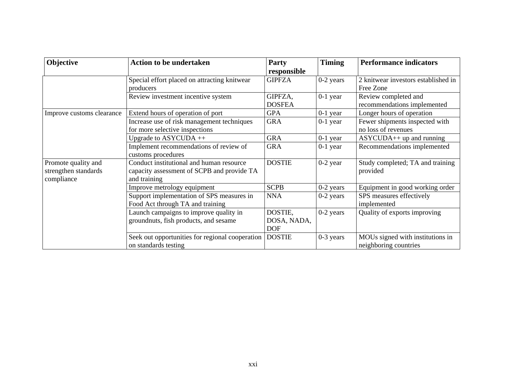| Objective                 | <b>Action to be undertaken</b>                                          | Party         | <b>Timing</b> | <b>Performance indicators</b>                             |
|---------------------------|-------------------------------------------------------------------------|---------------|---------------|-----------------------------------------------------------|
|                           |                                                                         | responsible   |               |                                                           |
|                           | Special effort placed on attracting knitwear                            | <b>GIPFZA</b> | $0-2$ years   | 2 knitwear investors established in                       |
|                           | producers                                                               |               |               | Free Zone                                                 |
|                           | Review investment incentive system                                      | GIPFZA,       | $0-1$ year    | Review completed and                                      |
|                           |                                                                         | <b>DOSFEA</b> |               | recommendations implemented                               |
| Improve customs clearance | Extend hours of operation of port                                       | <b>GPA</b>    | $0-1$ year    | Longer hours of operation                                 |
|                           | Increase use of risk management techniques                              | <b>GRA</b>    | $0-1$ year    | Fewer shipments inspected with                            |
|                           | for more selective inspections                                          |               |               | no loss of revenues                                       |
|                           | Upgrade to ASYCUDA ++                                                   | <b>GRA</b>    | $0-1$ year    | $ASYCUDA++$ up and running                                |
|                           | Implement recommendations of review of                                  | <b>GRA</b>    | $0-1$ year    | Recommendations implemented                               |
|                           | customs procedures                                                      |               |               |                                                           |
| Promote quality and       | Conduct institutional and human resource                                | <b>DOSTIE</b> | $0-2$ year    | Study completed; TA and training                          |
| strengthen standards      | capacity assessment of SCPB and provide TA                              |               |               | provided                                                  |
| compliance                | and training                                                            |               |               |                                                           |
|                           | Improve metrology equipment                                             | <b>SCPB</b>   | $0-2$ years   | Equipment in good working order                           |
|                           | Support implementation of SPS measures in                               | <b>NNA</b>    | $0-2$ years   | SPS measures effectively                                  |
|                           | Food Act through TA and training                                        |               |               | implemented                                               |
|                           | Launch campaigns to improve quality in                                  | DOSTIE,       | $0-2$ years   | Quality of exports improving                              |
|                           | groundnuts, fish products, and sesame                                   | DOSA, NADA,   |               |                                                           |
|                           |                                                                         | <b>DOF</b>    |               |                                                           |
|                           | Seek out opportunities for regional cooperation<br>on standards testing | <b>DOSTIE</b> | $0-3$ years   | MOUs signed with institutions in<br>neighboring countries |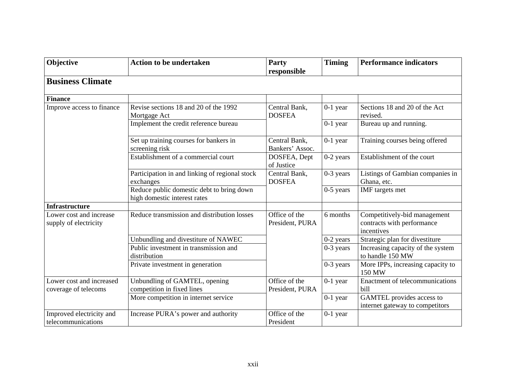| Objective                                        | <b>Action to be undertaken</b>                                            | Party<br>responsible             | <b>Timing</b> | <b>Performance indicators</b>                                            |
|--------------------------------------------------|---------------------------------------------------------------------------|----------------------------------|---------------|--------------------------------------------------------------------------|
| <b>Business Climate</b>                          |                                                                           |                                  |               |                                                                          |
| <b>Finance</b>                                   |                                                                           |                                  |               |                                                                          |
| Improve access to finance                        | Revise sections 18 and 20 of the 1992<br>Mortgage Act                     | Central Bank,<br><b>DOSFEA</b>   | $0-1$ year    | Sections 18 and 20 of the Act<br>revised.                                |
|                                                  | Implement the credit reference bureau                                     |                                  | $0-1$ year    | Bureau up and running.                                                   |
|                                                  | Set up training courses for bankers in<br>screening risk                  | Central Bank,<br>Bankers' Assoc. | $0-1$ year    | Training courses being offered                                           |
|                                                  | Establishment of a commercial court                                       | DOSFEA, Dept<br>of Justice       | $0-2$ years   | Establishment of the court                                               |
|                                                  | Participation in and linking of regional stock<br>exchanges               | Central Bank,<br><b>DOSFEA</b>   | 0-3 years     | Listings of Gambian companies in<br>Ghana, etc.                          |
|                                                  | Reduce public domestic debt to bring down<br>high domestic interest rates |                                  | $0-5$ years   | IMF targets met                                                          |
| <b>Infrastructure</b>                            |                                                                           |                                  |               |                                                                          |
| Lower cost and increase<br>supply of electricity | Reduce transmission and distribution losses                               | Office of the<br>President, PURA | 6 months      | Competitively-bid management<br>contracts with performance<br>incentives |
|                                                  | Unbundling and divestiture of NAWEC                                       |                                  | 0-2 years     | Strategic plan for divestiture                                           |
|                                                  | Public investment in transmission and<br>distribution                     |                                  | 0-3 years     | Increasing capacity of the system<br>to handle 150 MW                    |
|                                                  | Private investment in generation                                          |                                  | 0-3 years     | More IPPs, increasing capacity to<br>150 MW                              |
| Lower cost and increased<br>coverage of telecoms | Unbundling of GAMTEL, opening<br>competition in fixed lines               | Office of the<br>President, PURA | $0-1$ year    | Enactment of telecommunications<br>bill                                  |
|                                                  | More competition in internet service                                      |                                  | $0-1$ year    | <b>GAMTEL</b> provides access to<br>internet gateway to competitors      |
| Improved electricity and<br>telecommunications   | Increase PURA's power and authority                                       | Office of the<br>President       | $0-1$ year    |                                                                          |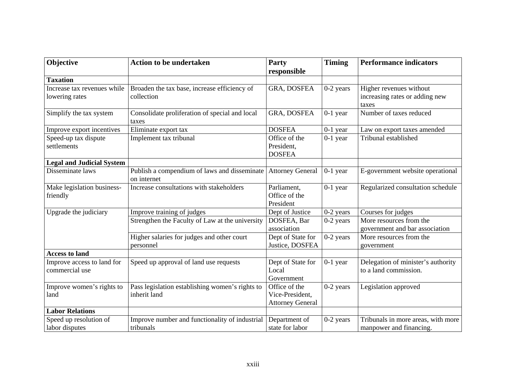| Objective                                    | <b>Action to be undertaken</b>                                  | Party                                                       | <b>Timing</b> | <b>Performance indicators</b>                                 |
|----------------------------------------------|-----------------------------------------------------------------|-------------------------------------------------------------|---------------|---------------------------------------------------------------|
|                                              |                                                                 | responsible                                                 |               |                                                               |
| <b>Taxation</b>                              |                                                                 |                                                             |               |                                                               |
| Increase tax revenues while                  | Broaden the tax base, increase efficiency of                    | GRA, DOSFEA                                                 | $0-2$ years   | Higher revenues without                                       |
| lowering rates                               | collection                                                      |                                                             |               | increasing rates or adding new<br>taxes                       |
| Simplify the tax system                      | Consolidate proliferation of special and local<br>taxes         | GRA, DOSFEA                                                 | $0-1$ year    | Number of taxes reduced                                       |
| Improve export incentives                    | Eliminate export tax                                            | <b>DOSFEA</b>                                               | $0-1$ year    | Law on export taxes amended                                   |
| Speed-up tax dispute<br>settlements          | Implement tax tribunal                                          | Office of the<br>President,<br><b>DOSFEA</b>                | $0-1$ year    | Tribunal established                                          |
| <b>Legal and Judicial System</b>             |                                                                 |                                                             |               |                                                               |
| Disseminate laws                             | Publish a compendium of laws and disseminate<br>on internet     | <b>Attorney General</b>                                     | $0-1$ year    | E-government website operational                              |
| Make legislation business-<br>friendly       | Increase consultations with stakeholders                        | Parliament,<br>Office of the<br>President                   | $0-1$ year    | Regularized consultation schedule                             |
| Upgrade the judiciary                        | Improve training of judges                                      | Dept of Justice                                             | 0-2 years     | Courses for judges                                            |
|                                              | Strengthen the Faculty of Law at the university                 | DOSFEA, Bar<br>association                                  | $0-2$ years   | More resources from the<br>government and bar association     |
|                                              | Higher salaries for judges and other court<br>personnel         | Dept of State for<br>Justice, DOSFEA                        | $0-2$ years   | More resources from the<br>government                         |
| <b>Access to land</b>                        |                                                                 |                                                             |               |                                                               |
| Improve access to land for<br>commercial use | Speed up approval of land use requests                          | Dept of State for<br>Local<br>Government                    | $0-1$ year    | Delegation of minister's authority<br>to a land commission.   |
| Improve women's rights to<br>land            | Pass legislation establishing women's rights to<br>inherit land | Office of the<br>Vice-President,<br><b>Attorney General</b> | $0-2$ years   | Legislation approved                                          |
| <b>Labor Relations</b>                       |                                                                 |                                                             |               |                                                               |
| Speed up resolution of<br>labor disputes     | Improve number and functionality of industrial<br>tribunals     | Department of<br>state for labor                            | $0-2$ years   | Tribunals in more areas, with more<br>manpower and financing. |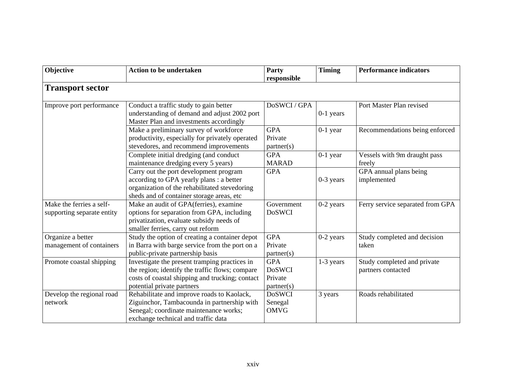| Objective                                              | <b>Action to be undertaken</b>                                                                                                                                                    | Party<br>responsible                                 | <b>Timing</b> | <b>Performance indicators</b>                     |
|--------------------------------------------------------|-----------------------------------------------------------------------------------------------------------------------------------------------------------------------------------|------------------------------------------------------|---------------|---------------------------------------------------|
| <b>Transport sector</b>                                |                                                                                                                                                                                   |                                                      |               |                                                   |
| Improve port performance                               | Conduct a traffic study to gain better<br>understanding of demand and adjust 2002 port<br>Master Plan and investments accordingly                                                 | DoSWCI / GPA                                         | $0-1$ years   | Port Master Plan revised                          |
|                                                        | Make a preliminary survey of workforce<br>productivity, especially for privately operated<br>stevedores, and recommend improvements                                               | <b>GPA</b><br>Private<br>partner(s)                  | $0-1$ year    | Recommendations being enforced                    |
|                                                        | Complete initial dredging (and conduct<br>maintenance dredging every 5 years)                                                                                                     | <b>GPA</b><br><b>MARAD</b>                           | $0-1$ year    | Vessels with 9m draught pass<br>freely            |
|                                                        | Carry out the port development program<br>according to GPA yearly plans : a better<br>organization of the rehabilitated stevedoring<br>sheds and of container storage areas, etc  | <b>GPA</b>                                           | $0-3$ years   | GPA annual plans being<br>implemented             |
| Make the ferries a self-<br>supporting separate entity | Make an audit of GPA(ferries), examine<br>options for separation from GPA, including<br>privatization, evaluate subsidy needs of<br>smaller ferries, carry out reform             | Government<br><b>DoSWCI</b>                          | $0-2$ years   | Ferry service separated from GPA                  |
| Organize a better<br>management of containers          | Study the option of creating a container depot<br>in Barra with barge service from the port on a<br>public-private partnership basis                                              | <b>GPA</b><br>Private<br>partner(s)                  | $0-2$ years   | Study completed and decision<br>taken             |
| Promote coastal shipping                               | Investigate the present tramping practices in<br>the region; identify the traffic flows; compare<br>costs of coastal shipping and trucking; contact<br>potential private partners | <b>GPA</b><br><b>DoSWCI</b><br>Private<br>partner(s) | $1-3$ years   | Study completed and private<br>partners contacted |
| Develop the regional road<br>network                   | Rehabilitate and improve roads to Kaolack,<br>Ziguinchor, Tambacounda in partnership with<br>Senegal; coordinate maintenance works;<br>exchange technical and traffic data        | <b>DoSWCI</b><br>Senegal<br><b>OMVG</b>              | 3 years       | Roads rehabilitated                               |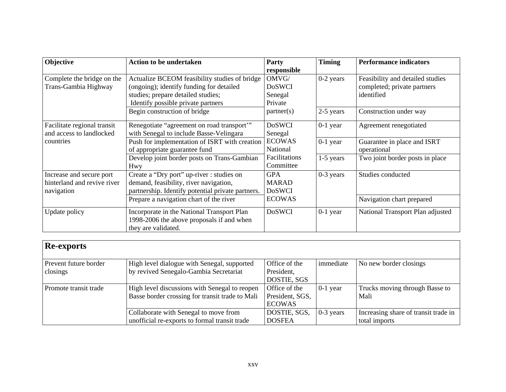| Objective                   | <b>Action to be undertaken</b>                    | Party         | <b>Timing</b> | <b>Performance indicators</b>    |
|-----------------------------|---------------------------------------------------|---------------|---------------|----------------------------------|
|                             |                                                   | responsible   |               |                                  |
| Complete the bridge on the  | Actualize BCEOM feasibility studies of bridge     | OMVG/         | $0-2$ years   | Feasibility and detailed studies |
| Trans-Gambia Highway        | (ongoing); identify funding for detailed          | <b>DoSWCI</b> |               | completed; private partners      |
|                             | studies; prepare detailed studies;                | Senegal       |               | identified                       |
|                             | Identify possible private partners                | Private       |               |                                  |
|                             | Begin construction of bridge                      | partner(s)    | 2-5 years     | Construction under way           |
| Facilitate regional transit | Renegotiate "agreement on road transport"         | <b>DoSWCI</b> | $0-1$ year    | Agreement renegotiated           |
| and access to landlocked    | with Senegal to include Basse-Velingara           | Senegal       |               |                                  |
| countries                   | Push for implementation of ISRT with creation     | <b>ECOWAS</b> | $0-1$ year    | Guarantee in place and ISRT      |
|                             | of appropriate guarantee fund                     | National      |               | operational                      |
|                             | Develop joint border posts on Trans-Gambian       | Facilitations | $1-5$ years   | Two joint border posts in place  |
|                             | Hwy                                               | Committee     |               |                                  |
| Increase and secure port    | Create a "Dry port" up-river : studies on         | <b>GPA</b>    | $0-3$ years   | Studies conducted                |
| hinterland and revive river | demand, feasibility, river navigation,            | <b>MARAD</b>  |               |                                  |
| navigation                  | partnership. Identify potential private partners. | <b>DoSWCI</b> |               |                                  |
|                             | Prepare a navigation chart of the river           | <b>ECOWAS</b> |               | Navigation chart prepared        |
| Update policy               | Incorporate in the National Transport Plan        | <b>DoSWCI</b> | $0-1$ year    | National Transport Plan adjusted |
|                             | 1998-2006 the above proposals if and when         |               |               |                                  |
|                             | they are validated.                               |               |               |                                  |

| <b>Re-exports</b>     |                                                 |                 |             |                                      |
|-----------------------|-------------------------------------------------|-----------------|-------------|--------------------------------------|
| Prevent future border | High level dialogue with Senegal, supported     | Office of the   | immediate   | No new border closings               |
| closings              | by revived Senegalo-Gambia Secretariat          | President,      |             |                                      |
|                       |                                                 | DOSTIE, SGS     |             |                                      |
| Promote transit trade | High level discussions with Senegal to reopen   | Office of the   | $0-1$ year  | Trucks moving through Basse to       |
|                       | Basse border crossing for transit trade to Mali | President, SGS, |             | Mali                                 |
|                       |                                                 | <b>ECOWAS</b>   |             |                                      |
|                       | Collaborate with Senegal to move from           | DOSTIE, SGS,    | $0-3$ years | Increasing share of transit trade in |
|                       | unofficial re-exports to formal transit trade   | <b>DOSFEA</b>   |             | total imports                        |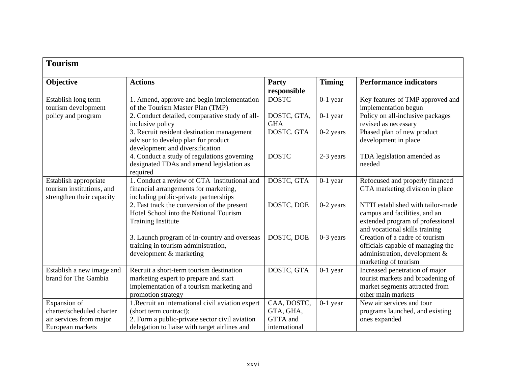| <b>Tourism</b>                                                                           |                                                                                                                                                                                |                                                       |               |                                                                                                                                          |
|------------------------------------------------------------------------------------------|--------------------------------------------------------------------------------------------------------------------------------------------------------------------------------|-------------------------------------------------------|---------------|------------------------------------------------------------------------------------------------------------------------------------------|
| Objective                                                                                | <b>Actions</b>                                                                                                                                                                 | Party<br>responsible                                  | <b>Timing</b> | <b>Performance indicators</b>                                                                                                            |
| Establish long term<br>tourism development                                               | 1. Amend, approve and begin implementation<br>of the Tourism Master Plan (TMP)                                                                                                 | <b>DOSTC</b>                                          | $0-1$ year    | Key features of TMP approved and<br>implementation begun                                                                                 |
| policy and program                                                                       | 2. Conduct detailed, comparative study of all-<br>inclusive policy                                                                                                             | DOSTC, GTA,<br><b>GHA</b>                             | $0-1$ year    | Policy on all-inclusive packages<br>revised as necessary                                                                                 |
|                                                                                          | 3. Recruit resident destination management<br>advisor to develop plan for product<br>development and diversification                                                           | DOSTC. GTA                                            | $0-2$ years   | Phased plan of new product<br>development in place                                                                                       |
|                                                                                          | 4. Conduct a study of regulations governing<br>designated TDAs and amend legislation as<br>required                                                                            | <b>DOSTC</b>                                          | 2-3 years     | TDA legislation amended as<br>needed                                                                                                     |
| Establish appropriate<br>tourism institutions, and<br>strengthen their capacity          | 1. Conduct a review of GTA institutional and<br>financial arrangements for marketing,<br>including public-private partnerships                                                 | DOSTC, GTA                                            | $0-1$ year    | Refocused and properly financed<br>GTA marketing division in place                                                                       |
|                                                                                          | 2. Fast track the conversion of the present<br>Hotel School into the National Tourism<br><b>Training Institute</b>                                                             | DOSTC, DOE                                            | $0-2$ years   | NTTI established with tailor-made<br>campus and facilities, and an<br>extended program of professional<br>and vocational skills training |
|                                                                                          | 3. Launch program of in-country and overseas<br>training in tourism administration,<br>development & marketing                                                                 | DOSTC, DOE                                            | $0-3$ years   | Creation of a cadre of tourism<br>officials capable of managing the<br>administration, development &<br>marketing of tourism             |
| Establish a new image and<br>brand for The Gambia                                        | Recruit a short-term tourism destination<br>marketing expert to prepare and start<br>implementation of a tourism marketing and<br>promotion strategy                           | DOSTC, GTA                                            | $0-1$ year    | Increased penetration of major<br>tourist markets and broadening of<br>market segments attracted from<br>other main markets              |
| Expansion of<br>charter/scheduled charter<br>air services from major<br>European markets | 1. Recruit an international civil aviation expert<br>(short term contract);<br>2. Form a public-private sector civil aviation<br>delegation to liaise with target airlines and | CAA, DOSTC,<br>GTA, GHA,<br>GTTA and<br>international | $0-1$ year    | New air services and tour<br>programs launched, and existing<br>ones expanded                                                            |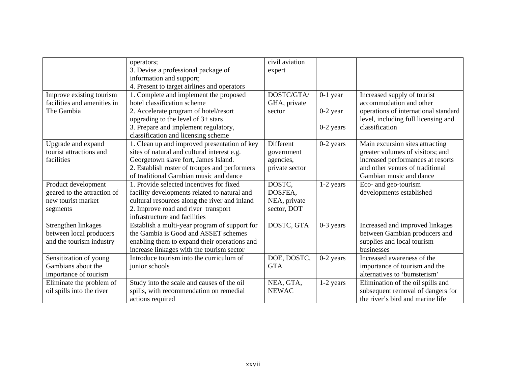|                             | operators;                                    | civil aviation   |             |                                      |
|-----------------------------|-----------------------------------------------|------------------|-------------|--------------------------------------|
|                             | 3. Devise a professional package of           | expert           |             |                                      |
|                             | information and support;                      |                  |             |                                      |
|                             | 4. Present to target airlines and operators   |                  |             |                                      |
| Improve existing tourism    | 1. Complete and implement the proposed        | DOSTC/GTA/       | $0-1$ year  | Increased supply of tourist          |
| facilities and amenities in | hotel classification scheme                   | GHA, private     |             | accommodation and other              |
| The Gambia                  | 2. Accelerate program of hotel/resort         | sector           | $0-2$ year  | operations of international standard |
|                             | upgrading to the level of $3+$ stars          |                  |             | level, including full licensing and  |
|                             | 3. Prepare and implement regulatory,          |                  | 0-2 years   | classification                       |
|                             | classification and licensing scheme           |                  |             |                                      |
| Upgrade and expand          | 1. Clean up and improved presentation of key  | <b>Different</b> | $0-2$ years | Main excursion sites attracting      |
| tourist attractions and     | sites of natural and cultural interest e.g.   | government       |             | greater volumes of visitors; and     |
| facilities                  | Georgetown slave fort, James Island.          | agencies,        |             | increased performances at resorts    |
|                             | 2. Establish roster of troupes and performers | private sector   |             | and other venues of traditional      |
|                             | of traditional Gambian music and dance        |                  |             | Gambian music and dance              |
| Product development         | 1. Provide selected incentives for fixed      | DOSTC,           | 1-2 years   | Eco- and geo-tourism                 |
| geared to the attraction of | facility developments related to natural and  | DOSFEA,          |             | developments established             |
| new tourist market          | cultural resources along the river and inland | NEA, private     |             |                                      |
| segments                    | 2. Improve road and river transport           | sector, DOT      |             |                                      |
|                             | infrastructure and facilities                 |                  |             |                                      |
| Strengthen linkages         | Establish a multi-year program of support for | DOSTC, GTA       | $0-3$ years | Increased and improved linkages      |
| between local producers     | the Gambia is Good and ASSET schemes          |                  |             | between Gambian producers and        |
| and the tourism industry    | enabling them to expand their operations and  |                  |             | supplies and local tourism           |
|                             | increase linkages with the tourism sector     |                  |             | businesses                           |
| Sensitization of young      | Introduce tourism into the curriculum of      | DOE, DOSTC,      | $0-2$ years | Increased awareness of the           |
| Gambians about the          | junior schools                                | <b>GTA</b>       |             | importance of tourism and the        |
| importance of tourism       |                                               |                  |             | alternatives to 'bumsterism'         |
| Eliminate the problem of    | Study into the scale and causes of the oil    | NEA, GTA,        | 1-2 years   | Elimination of the oil spills and    |
| oil spills into the river   | spills, with recommendation on remedial       | <b>NEWAC</b>     |             | subsequent removal of dangers for    |
|                             | actions required                              |                  |             | the river's bird and marine life     |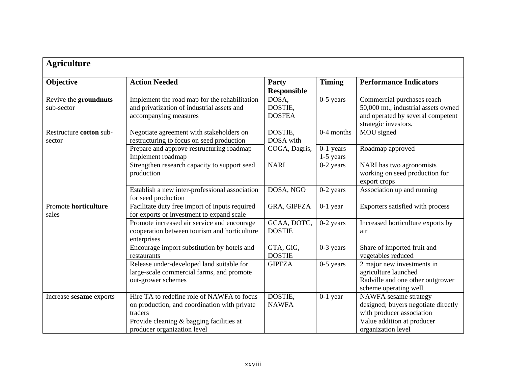| <b>Agriculture</b>                  |                                                                                                                      |                                   |                            |                                                                                                                                |
|-------------------------------------|----------------------------------------------------------------------------------------------------------------------|-----------------------------------|----------------------------|--------------------------------------------------------------------------------------------------------------------------------|
| Objective                           | <b>Action Needed</b>                                                                                                 | Party<br><b>Responsible</b>       | <b>Timing</b>              | <b>Performance Indicators</b>                                                                                                  |
| Revive the groundnuts<br>sub-sector | Implement the road map for the rehabilitation<br>and privatization of industrial assets and<br>accompanying measures | DOSA,<br>DOSTIE,<br><b>DOSFEA</b> | $0-5$ years                | Commercial purchases reach<br>50,000 mt., industrial assets owned<br>and operated by several competent<br>strategic investors. |
| Restructure cotton sub-<br>sector   | Negotiate agreement with stakeholders on<br>restructuring to focus on seed production                                | DOSTIE,<br>DOSA with              | 0-4 months                 | MOU signed                                                                                                                     |
|                                     | Prepare and approve restructuring roadmap<br>Implement roadmap                                                       | COGA, Dagris,                     | $0-1$ years<br>$1-5$ years | Roadmap approved                                                                                                               |
|                                     | Strengthen research capacity to support seed<br>production                                                           | <b>NARI</b>                       | $0-2$ years                | NARI has two agronomists<br>working on seed production for<br>export crops                                                     |
|                                     | Establish a new inter-professional association<br>for seed production                                                | DOSA, NGO                         | $0-2$ years                | Association up and running                                                                                                     |
| Promote horticulture<br>sales       | Facilitate duty free import of inputs required<br>for exports or investment to expand scale                          | GRA, GIPFZA                       | $0-1$ year                 | Exporters satisfied with process                                                                                               |
|                                     | Promote increased air service and encourage<br>cooperation between tourism and horticulture<br>enterprises           | GCAA, DOTC,<br><b>DOSTIE</b>      | $0-2$ years                | Increased horticulture exports by<br>air                                                                                       |
|                                     | Encourage import substitution by hotels and<br>restaurants                                                           | GTA, GiG,<br><b>DOSTIE</b>        | $0-3$ years                | Share of imported fruit and<br>vegetables reduced                                                                              |
|                                     | Release under-developed land suitable for<br>large-scale commercial farms, and promote<br>out-grower schemes         | <b>GIPFZA</b>                     | $0-5$ years                | 2 major new investments in<br>agriculture launched<br>Radville and one other outgrower<br>scheme operating well                |
| Increase sesame exports             | Hire TA to redefine role of NAWFA to focus<br>on production, and coordination with private<br>traders                | DOSTIE,<br><b>NAWFA</b>           | $0-1$ year                 | NAWFA sesame strategy<br>designed; buyers negotiate directly<br>with producer association                                      |
|                                     | Provide cleaning & bagging facilities at<br>producer organization level                                              |                                   |                            | Value addition at producer<br>organization level                                                                               |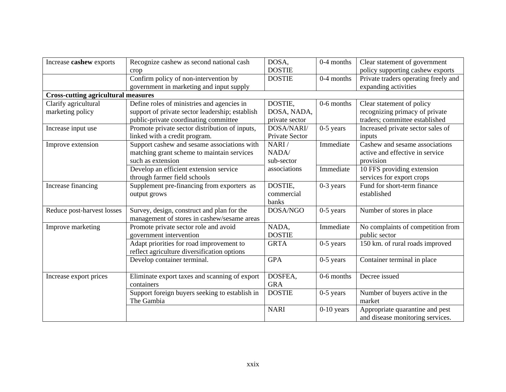| Increase cashew exports                    | Recognize cashew as second national cash        | DOSA.          | 0-4 months   | Clear statement of government        |
|--------------------------------------------|-------------------------------------------------|----------------|--------------|--------------------------------------|
|                                            | crop                                            | <b>DOSTIE</b>  |              | policy supporting cashew exports     |
|                                            | Confirm policy of non-intervention by           | <b>DOSTIE</b>  | 0-4 months   | Private traders operating freely and |
|                                            | government in marketing and input supply        |                |              | expanding activities                 |
| <b>Cross-cutting agricultural measures</b> |                                                 |                |              |                                      |
| Clarify agricultural                       | Define roles of ministries and agencies in      | DOSTIE,        | 0-6 months   | Clear statement of policy            |
| marketing policy                           | support of private sector leadership; establish | DOSA, NADA,    |              | recognizing primacy of private       |
|                                            | public-private coordinating committee           | private sector |              | traders; committee established       |
| Increase input use                         | Promote private sector distribution of inputs,  | DOSA/NARI/     | $0-5$ years  | Increased private sector sales of    |
|                                            | linked with a credit program.                   | Private Sector |              | inputs                               |
| Improve extension                          | Support cashew and sesame associations with     | NARI/          | Immediate    | Cashew and sesame associations       |
|                                            | matching grant scheme to maintain services      | NADA/          |              | active and effective in service      |
|                                            | such as extension                               | sub-sector     |              | provision                            |
|                                            | Develop an efficient extension service          | associations   | Immediate    | 10 FFS providing extension           |
|                                            | through farmer field schools                    |                |              | services for export crops            |
| Increase financing                         | Supplement pre-financing from exporters as      | DOSTIE,        | $0-3$ years  | Fund for short-term finance          |
|                                            | output grows                                    | commercial     |              | established                          |
|                                            |                                                 | banks          |              |                                      |
| Reduce post-harvest losses                 | Survey, design, construct and plan for the      | DOSA/NGO       | $0-5$ years  | Number of stores in place            |
|                                            | management of stores in cashew/sesame areas     |                |              |                                      |
| Improve marketing                          | Promote private sector role and avoid           | NADA,          | Immediate    | No complaints of competition from    |
|                                            | government intervention                         | <b>DOSTIE</b>  |              | public sector                        |
|                                            | Adapt priorities for road improvement to        | <b>GRTA</b>    | $0-5$ years  | 150 km. of rural roads improved      |
|                                            | reflect agriculture diversification options     |                |              |                                      |
|                                            | Develop container terminal.                     | <b>GPA</b>     | $0-5$ years  | Container terminal in place          |
|                                            |                                                 |                |              |                                      |
| Increase export prices                     | Eliminate export taxes and scanning of export   | DOSFEA,        | 0-6 months   | Decree issued                        |
|                                            | containers                                      | <b>GRA</b>     |              |                                      |
|                                            | Support foreign buyers seeking to establish in  | <b>DOSTIE</b>  | $0-5$ years  | Number of buyers active in the       |
|                                            | The Gambia                                      |                |              | market                               |
|                                            |                                                 | <b>NARI</b>    | $0-10$ years | Appropriate quarantine and pest      |
|                                            |                                                 |                |              | and disease monitoring services.     |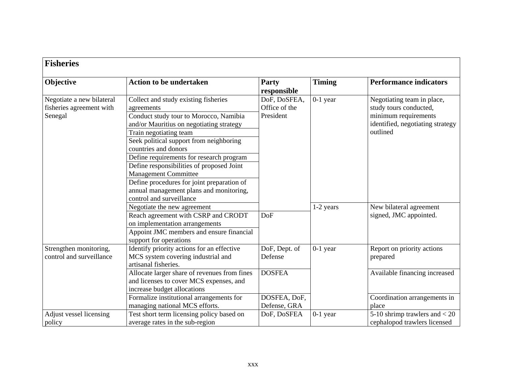| <b>Fisheries</b>                                                 |                                                                                                                                                                                                                                                                                                                                                                                                                                                                                    |                                            |               |                                                                                                                              |  |  |
|------------------------------------------------------------------|------------------------------------------------------------------------------------------------------------------------------------------------------------------------------------------------------------------------------------------------------------------------------------------------------------------------------------------------------------------------------------------------------------------------------------------------------------------------------------|--------------------------------------------|---------------|------------------------------------------------------------------------------------------------------------------------------|--|--|
| Objective                                                        | <b>Action to be undertaken</b>                                                                                                                                                                                                                                                                                                                                                                                                                                                     | <b>Party</b><br>responsible                | <b>Timing</b> | <b>Performance indicators</b>                                                                                                |  |  |
| Negotiate a new bilateral<br>fisheries agreement with<br>Senegal | Collect and study existing fisheries<br>agreements<br>Conduct study tour to Morocco, Namibia<br>and/or Mauritius on negotiating strategy<br>Train negotiating team<br>Seek political support from neighboring<br>countries and donors<br>Define requirements for research program<br>Define responsibilities of proposed Joint<br><b>Management Committee</b><br>Define procedures for joint preparation of<br>annual management plans and monitoring,<br>control and surveillance | DoF, DoSFEA,<br>Office of the<br>President | $0-1$ year    | Negotiating team in place,<br>study tours conducted,<br>minimum requirements<br>identified, negotiating strategy<br>outlined |  |  |
|                                                                  | Negotiate the new agreement<br>Reach agreement with CSRP and CRODT<br>on implementation arrangements<br>Appoint JMC members and ensure financial<br>support for operations                                                                                                                                                                                                                                                                                                         | DoF                                        | 1-2 years     | New bilateral agreement<br>signed, JMC appointed.                                                                            |  |  |
| Strengthen monitoring,<br>control and surveillance               | Identify priority actions for an effective<br>MCS system covering industrial and<br>artisanal fisheries.                                                                                                                                                                                                                                                                                                                                                                           | DoF, Dept. of<br>Defense                   | $0-1$ year    | Report on priority actions<br>prepared                                                                                       |  |  |
|                                                                  | Allocate larger share of revenues from fines<br>and licenses to cover MCS expenses, and<br>increase budget allocations<br>Formalize institutional arrangements for                                                                                                                                                                                                                                                                                                                 | <b>DOSFEA</b><br>DOSFEA, DoF,              |               | Available financing increased<br>Coordination arrangements in                                                                |  |  |
|                                                                  | managing national MCS efforts.                                                                                                                                                                                                                                                                                                                                                                                                                                                     | Defense, GRA                               |               | place                                                                                                                        |  |  |
| Adjust vessel licensing<br>policy                                | Test short term licensing policy based on<br>average rates in the sub-region                                                                                                                                                                                                                                                                                                                                                                                                       | DoF, DoSFEA                                | $0-1$ year    | 5-10 shrimp trawlers and $<$ 20<br>cephalopod trawlers licensed                                                              |  |  |